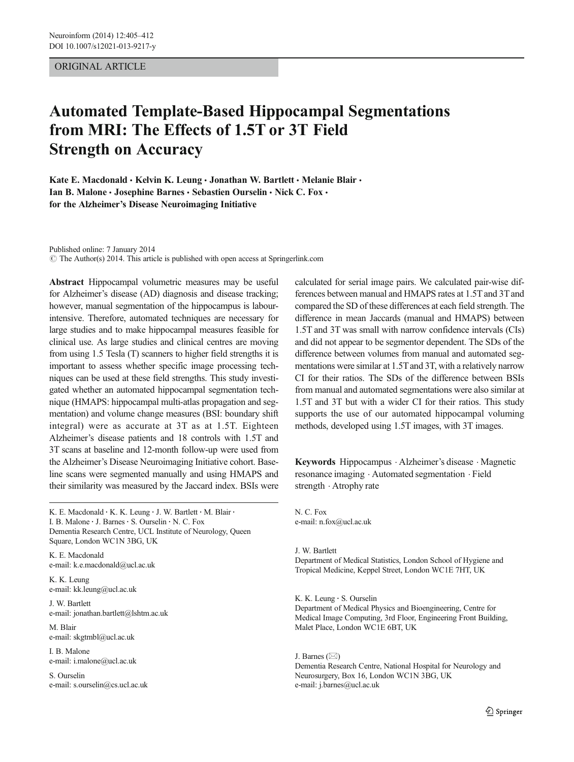# ORIGINAL ARTICLE

# Automated Template-Based Hippocampal Segmentations from MRI: The Effects of 1.5T or 3T Field Strength on Accuracy

Kate E. Macdonald  $\cdot$  Kelvin K. Leung  $\cdot$  Jonathan W. Bartlett  $\cdot$  Melanie Blair  $\cdot$ Ian B. Malone · Josephine Barnes · Sebastien Ourselin · Nick C. Fox · for the Alzheimer's Disease Neuroimaging Initiative

Published online: 7 January 2014

 $\odot$  The Author(s) 2014. This article is published with open access at Springerlink.com

Abstract Hippocampal volumetric measures may be useful for Alzheimer's disease (AD) diagnosis and disease tracking; however, manual segmentation of the hippocampus is labourintensive. Therefore, automated techniques are necessary for large studies and to make hippocampal measures feasible for clinical use. As large studies and clinical centres are moving from using 1.5 Tesla (T) scanners to higher field strengths it is important to assess whether specific image processing techniques can be used at these field strengths. This study investigated whether an automated hippocampal segmentation technique (HMAPS: hippocampal multi-atlas propagation and segmentation) and volume change measures (BSI: boundary shift integral) were as accurate at 3T as at 1.5T. Eighteen Alzheimer's disease patients and 18 controls with 1.5T and 3T scans at baseline and 12-month follow-up were used from the Alzheimer's Disease Neuroimaging Initiative cohort. Baseline scans were segmented manually and using HMAPS and their similarity was measured by the Jaccard index. BSIs were

K. E. Macdonald · K. K. Leung · J. W. Bartlett · M. Blair · I. B. Malone · J. Barnes · S. Ourselin · N. C. Fox Dementia Research Centre, UCL Institute of Neurology, Queen Square, London WC1N 3BG, UK

K. E. Macdonald e-mail: k.e.macdonald@ucl.ac.uk

K. K. Leung e-mail: kk.leung@ucl.ac.uk

J. W. Bartlett e-mail: jonathan.bartlett@lshtm.ac.uk

M. Blair e-mail: skgtmbl@ucl.ac.uk

I. B. Malone e-mail: i.malone@ucl.ac.uk

S. Ourselin e-mail: s.ourselin@cs.ucl.ac.uk calculated for serial image pairs. We calculated pair-wise differences between manual and HMAPS rates at 1.5T and 3T and compared the SD of these differences at each field strength. The difference in mean Jaccards (manual and HMAPS) between 1.5T and 3T was small with narrow confidence intervals (CIs) and did not appear to be segmentor dependent. The SDs of the difference between volumes from manual and automated segmentations were similar at 1.5Tand 3T, with a relatively narrow CI for their ratios. The SDs of the difference between BSIs from manual and automated segmentations were also similar at 1.5T and 3T but with a wider CI for their ratios. This study supports the use of our automated hippocampal voluming methods, developed using 1.5T images, with 3T images.

Keywords Hippocampus . Alzheimer's disease . Magnetic resonance imaging . Automated segmentation . Field strength  $\cdot$  Atrophy rate

N. C. Fox e-mail: n.fox@ucl.ac.uk

J. W. Bartlett Department of Medical Statistics, London School of Hygiene and Tropical Medicine, Keppel Street, London WC1E 7HT, UK

K. K. Leung : S. Ourselin Department of Medical Physics and Bioengineering, Centre for Medical Image Computing, 3rd Floor, Engineering Front Building, Malet Place, London WC1E 6BT, UK

J. Barnes  $(\boxtimes)$ Dementia Research Centre, National Hospital for Neurology and Neurosurgery, Box 16, London WC1N 3BG, UK e-mail: j.barnes@ucl.ac.uk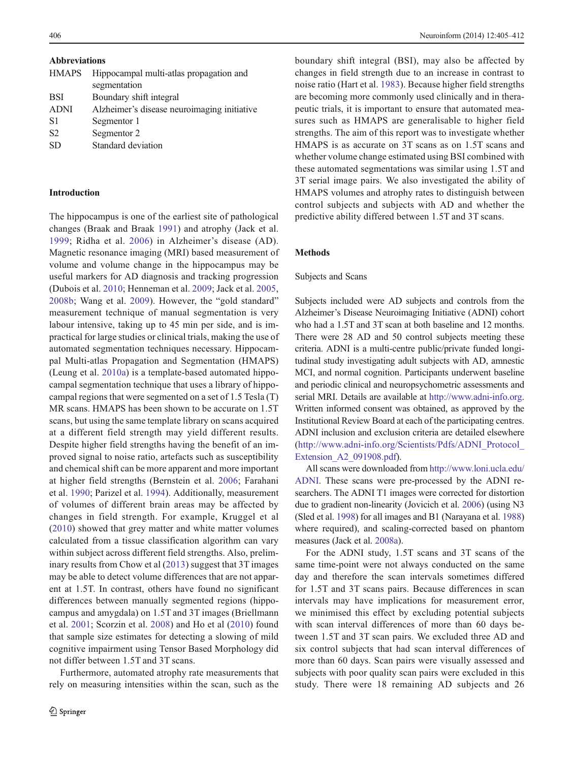<span id="page-1-0"></span>Abbreviations

| <b>HMAPS</b>   | Hippocampal multi-atlas propagation and     |
|----------------|---------------------------------------------|
|                | segmentation                                |
| <b>BSI</b>     | Boundary shift integral                     |
| <b>ADNI</b>    | Alzheimer's disease neuroimaging initiative |
| S1             | Segmentor 1                                 |
| S <sub>2</sub> | Segmentor 2                                 |
| <b>SD</b>      | Standard deviation                          |
|                |                                             |

#### Introduction

The hippocampus is one of the earliest site of pathological changes (Braak and Braak [1991](#page-6-0)) and atrophy (Jack et al. [1999;](#page-7-0) Ridha et al. [2006](#page-7-0)) in Alzheimer's disease (AD). Magnetic resonance imaging (MRI) based measurement of volume and volume change in the hippocampus may be useful markers for AD diagnosis and tracking progression (Dubois et al. [2010](#page-6-0); Henneman et al. [2009;](#page-7-0) Jack et al. [2005,](#page-7-0) [2008b](#page-7-0); Wang et al. [2009](#page-7-0)). However, the "gold standard" measurement technique of manual segmentation is very labour intensive, taking up to 45 min per side, and is impractical for large studies or clinical trials, making the use of automated segmentation techniques necessary. Hippocampal Multi-atlas Propagation and Segmentation (HMAPS) (Leung et al. [2010a\)](#page-7-0) is a template-based automated hippocampal segmentation technique that uses a library of hippocampal regions that were segmented on a set of 1.5 Tesla (T) MR scans. HMAPS has been shown to be accurate on 1.5T scans, but using the same template library on scans acquired at a different field strength may yield different results. Despite higher field strengths having the benefit of an improved signal to noise ratio, artefacts such as susceptibility and chemical shift can be more apparent and more important at higher field strengths (Bernstein et al. [2006](#page-6-0); Farahani et al. [1990](#page-6-0); Parizel et al. [1994](#page-7-0)). Additionally, measurement of volumes of different brain areas may be affected by changes in field strength. For example, Kruggel et al [\(2010\)](#page-7-0) showed that grey matter and white matter volumes calculated from a tissue classification algorithm can vary within subject across different field strengths. Also, preliminary results from Chow et al [\(2013\)](#page-6-0) suggest that 3T images may be able to detect volume differences that are not apparent at 1.5T. In contrast, others have found no significant differences between manually segmented regions (hippocampus and amygdala) on 1.5T and 3T images (Briellmann et al. [2001](#page-6-0); Scorzin et al. [2008\)](#page-7-0) and Ho et al ([2010](#page-7-0)) found that sample size estimates for detecting a slowing of mild cognitive impairment using Tensor Based Morphology did not differ between 1.5T and 3T scans.

Furthermore, automated atrophy rate measurements that rely on measuring intensities within the scan, such as the boundary shift integral (BSI), may also be affected by changes in field strength due to an increase in contrast to noise ratio (Hart et al. [1983](#page-7-0)). Because higher field strengths are becoming more commonly used clinically and in therapeutic trials, it is important to ensure that automated measures such as HMAPS are generalisable to higher field strengths. The aim of this report was to investigate whether HMAPS is as accurate on 3T scans as on 1.5T scans and whether volume change estimated using BSI combined with these automated segmentations was similar using 1.5T and 3T serial image pairs. We also investigated the ability of HMAPS volumes and atrophy rates to distinguish between control subjects and subjects with AD and whether the predictive ability differed between 1.5T and 3T scans.

# Methods

#### Subjects and Scans

Subjects included were AD subjects and controls from the Alzheimer's Disease Neuroimaging Initiative (ADNI) cohort who had a 1.5T and 3T scan at both baseline and 12 months. There were 28 AD and 50 control subjects meeting these criteria. ADNI is a multi-centre public/private funded longitudinal study investigating adult subjects with AD, amnestic MCI, and normal cognition. Participants underwent baseline and periodic clinical and neuropsychometric assessments and serial MRI. Details are available at [http://www.adni-info.org.](http://www.adni-info.org/) Written informed consent was obtained, as approved by the Institutional Review Board at each of the participating centres. ADNI inclusion and exclusion criteria are detailed elsewhere [\(http://www.adni-info.org/Scientists/Pdfs/ADNI\\_Protocol\\_](http://www.adni-info.org/Scientists/Pdfs/ADNI_Protocol_Extension_A2_091908.pdf) [Extension\\_A2\\_091908.pdf](http://www.adni-info.org/Scientists/Pdfs/ADNI_Protocol_Extension_A2_091908.pdf)).

All scans were downloaded from [http://www.loni.ucla.edu/](http://www.loni.ucla.edu/ADNI) [ADNI.](http://www.loni.ucla.edu/ADNI) These scans were pre-processed by the ADNI researchers. The ADNI T1 images were corrected for distortion due to gradient non-linearity (Jovicich et al. [2006](#page-7-0)) (using N3 (Sled et al. [1998\)](#page-7-0) for all images and B1 (Narayana et al. [1988](#page-7-0)) where required), and scaling-corrected based on phantom measures (Jack et al. [2008a](#page-7-0)).

For the ADNI study, 1.5T scans and 3T scans of the same time-point were not always conducted on the same day and therefore the scan intervals sometimes differed for 1.5T and 3T scans pairs. Because differences in scan intervals may have implications for measurement error, we minimised this effect by excluding potential subjects with scan interval differences of more than 60 days between 1.5T and 3T scan pairs. We excluded three AD and six control subjects that had scan interval differences of more than 60 days. Scan pairs were visually assessed and subjects with poor quality scan pairs were excluded in this study. There were 18 remaining AD subjects and 26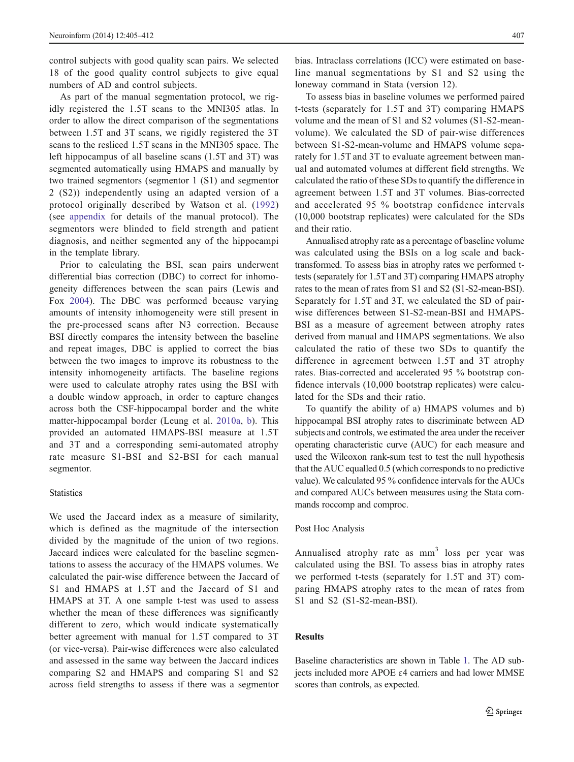control subjects with good quality scan pairs. We selected 18 of the good quality control subjects to give equal numbers of AD and control subjects.

As part of the manual segmentation protocol, we rigidly registered the 1.5T scans to the MNI305 atlas. In order to allow the direct comparison of the segmentations between 1.5T and 3T scans, we rigidly registered the 3T scans to the resliced 1.5T scans in the MNI305 space. The left hippocampus of all baseline scans (1.5T and 3T) was segmented automatically using HMAPS and manually by two trained segmentors (segmentor 1 (S1) and segmentor 2 (S2)) independently using an adapted version of a protocol originally described by Watson et al. ([1992\)](#page-7-0) (see [appendix](#page-6-0) for details of the manual protocol). The segmentors were blinded to field strength and patient diagnosis, and neither segmented any of the hippocampi in the template library.

Prior to calculating the BSI, scan pairs underwent differential bias correction (DBC) to correct for inhomogeneity differences between the scan pairs (Lewis and Fox [2004\)](#page-7-0). The DBC was performed because varying amounts of intensity inhomogeneity were still present in the pre-processed scans after N3 correction. Because BSI directly compares the intensity between the baseline and repeat images, DBC is applied to correct the bias between the two images to improve its robustness to the intensity inhomogeneity artifacts. The baseline regions were used to calculate atrophy rates using the BSI with a double window approach, in order to capture changes across both the CSF-hippocampal border and the white matter-hippocampal border (Leung et al. [2010a,](#page-7-0) [b](#page-7-0)). This provided an automated HMAPS-BSI measure at 1.5T and 3T and a corresponding semi-automated atrophy rate measure S1-BSI and S2-BSI for each manual segmentor.

# **Statistics**

We used the Jaccard index as a measure of similarity, which is defined as the magnitude of the intersection divided by the magnitude of the union of two regions. Jaccard indices were calculated for the baseline segmentations to assess the accuracy of the HMAPS volumes. We calculated the pair-wise difference between the Jaccard of S1 and HMAPS at 1.5T and the Jaccard of S1 and HMAPS at 3T. A one sample t-test was used to assess whether the mean of these differences was significantly different to zero, which would indicate systematically better agreement with manual for 1.5T compared to 3T (or vice-versa). Pair-wise differences were also calculated and assessed in the same way between the Jaccard indices comparing S2 and HMAPS and comparing S1 and S2 across field strengths to assess if there was a segmentor

bias. Intraclass correlations (ICC) were estimated on baseline manual segmentations by S1 and S2 using the loneway command in Stata (version 12).

To assess bias in baseline volumes we performed paired t-tests (separately for 1.5T and 3T) comparing HMAPS volume and the mean of S1 and S2 volumes (S1-S2-meanvolume). We calculated the SD of pair-wise differences between S1-S2-mean-volume and HMAPS volume separately for 1.5T and 3T to evaluate agreement between manual and automated volumes at different field strengths. We calculated the ratio of these SDs to quantify the difference in agreement between 1.5T and 3T volumes. Bias-corrected and accelerated 95 % bootstrap confidence intervals (10,000 bootstrap replicates) were calculated for the SDs and their ratio.

Annualised atrophy rate as a percentage of baseline volume was calculated using the BSIs on a log scale and backtransformed. To assess bias in atrophy rates we performed ttests (separately for 1.5T and 3T) comparing HMAPS atrophy rates to the mean of rates from S1 and S2 (S1-S2-mean-BSI). Separately for 1.5T and 3T, we calculated the SD of pairwise differences between S1-S2-mean-BSI and HMAPS-BSI as a measure of agreement between atrophy rates derived from manual and HMAPS segmentations. We also calculated the ratio of these two SDs to quantify the difference in agreement between 1.5T and 3T atrophy rates. Bias-corrected and accelerated 95 % bootstrap confidence intervals (10,000 bootstrap replicates) were calculated for the SDs and their ratio.

To quantify the ability of a) HMAPS volumes and b) hippocampal BSI atrophy rates to discriminate between AD subjects and controls, we estimated the area under the receiver operating characteristic curve (AUC) for each measure and used the Wilcoxon rank-sum test to test the null hypothesis that the AUC equalled 0.5 (which corresponds to no predictive value). We calculated 95 % confidence intervals for the AUCs and compared AUCs between measures using the Stata commands roccomp and comproc.

#### Post Hoc Analysis

Annualised atrophy rate as mm<sup>3</sup> loss per year was calculated using the BSI. To assess bias in atrophy rates we performed t-tests (separately for 1.5T and 3T) comparing HMAPS atrophy rates to the mean of rates from S1 and S2 (S1-S2-mean-BSI).

## Results

Baseline characteristics are shown in Table [1.](#page-3-0) The AD subjects included more APOE ε4 carriers and had lower MMSE scores than controls, as expected.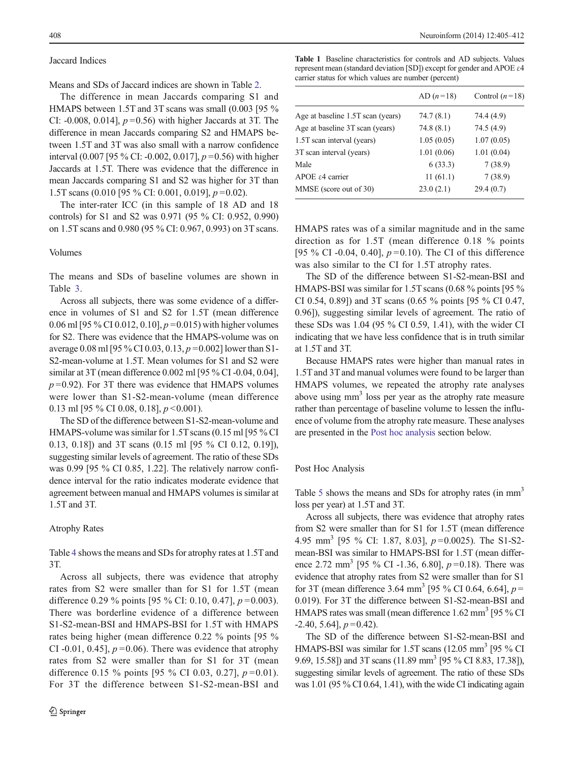### <span id="page-3-0"></span>Jaccard Indices

Means and SDs of Jaccard indices are shown in Table [2](#page-4-0).

The difference in mean Jaccards comparing S1 and HMAPS between 1.5T and 3T scans was small (0.003 [95 % CI: -0.008, 0.014],  $p=0.56$ ) with higher Jaccards at 3T. The difference in mean Jaccards comparing S2 and HMAPS between 1.5T and 3T was also small with a narrow confidence interval (0.007 [95 % CI: -0.002, 0.017],  $p = 0.56$ ) with higher Jaccards at 1.5T. There was evidence that the difference in mean Jaccards comparing S1 and S2 was higher for 3T than 1.5T scans (0.010 [95 % CI: 0.001, 0.019],  $p = 0.02$ ).

The inter-rater ICC (in this sample of 18 AD and 18 controls) for S1 and S2 was 0.971 (95 % CI: 0.952, 0.990) on 1.5T scans and 0.980 (95 % CI: 0.967, 0.993) on 3T scans.

# Volumes

The means and SDs of baseline volumes are shown in Table [3.](#page-4-0)

Across all subjects, there was some evidence of a difference in volumes of S1 and S2 for 1.5T (mean difference 0.06 ml [95 % CI 0.012, 0.10],  $p = 0.015$ ) with higher volumes for S2. There was evidence that the HMAPS-volume was on average 0.08 ml [95 % CI 0.03, 0.13,  $p = 0.002$ ] lower than S1-S2-mean-volume at 1.5T. Mean volumes for S1 and S2 were similar at 3T (mean difference 0.002 ml [95 % CI -0.04, 0.04],  $p = 0.92$ ). For 3T there was evidence that HMAPS volumes were lower than S1-S2-mean-volume (mean difference 0.13 ml [95 % CI 0.08, 0.18],  $p < 0.001$ ).

The SD of the difference between S1-S2-mean-volume and HMAPS-volume was similar for 1.5T scans (0.15 ml [95 % CI 0.13, 0.18]) and 3T scans (0.15 ml [95 % CI 0.12, 0.19]), suggesting similar levels of agreement. The ratio of these SDs was 0.99 [95 % CI 0.85, 1.22]. The relatively narrow confidence interval for the ratio indicates moderate evidence that agreement between manual and HMAPS volumes is similar at 1.5T and 3T.

#### Atrophy Rates

Table [4](#page-4-0) shows the means and SDs for atrophy rates at 1.5T and 3T.

Across all subjects, there was evidence that atrophy rates from S2 were smaller than for S1 for 1.5T (mean difference 0.29 % points [95 % CI: 0.10, 0.47],  $p = 0.003$ ). There was borderline evidence of a difference between S1-S2-mean-BSI and HMAPS-BSI for 1.5T with HMAPS rates being higher (mean difference 0.22 % points [95 % CI -0.01, 0.45],  $p=0.06$ ). There was evidence that atrophy rates from S2 were smaller than for S1 for 3T (mean difference 0.15 % points [95 % CI 0.03, 0.27],  $p = 0.01$ ). For 3T the difference between S1-S2-mean-BSI and Table 1 Baseline characteristics for controls and AD subjects. Values represent mean (standard deviation [SD]) except for gender and APOE ε4 carrier status for which values are number (percent)

|                                   | AD $(n=18)$ | Control $(n=18)$ |
|-----------------------------------|-------------|------------------|
| Age at baseline 1.5T scan (years) | 74.7(8.1)   | 74.4 (4.9)       |
| Age at baseline 3T scan (years)   | 74.8(8.1)   | 74.5 (4.9)       |
| 1.5T scan interval (years)        | 1.05(0.05)  | 1.07(0.05)       |
| 3T scan interval (years)          | 1.01(0.06)  | 1.01(0.04)       |
| Male                              | 6(33.3)     | 7(38.9)          |
| APOE $\varepsilon$ 4 carrier      | 11(61.1)    | 7(38.9)          |
| MMSE (score out of 30)            | 23.0(2.1)   | 29.4(0.7)        |

HMAPS rates was of a similar magnitude and in the same direction as for 1.5T (mean difference 0.18 % points [95 % CI -0.04, 0.40],  $p=0.10$ ). The CI of this difference was also similar to the CI for 1.5T atrophy rates.

The SD of the difference between S1-S2-mean-BSI and HMAPS-BSI was similar for 1.5T scans (0.68 % points [95 % CI 0.54, 0.89]) and 3T scans (0.65 % points [95 % CI 0.47, 0.96]), suggesting similar levels of agreement. The ratio of these SDs was 1.04 (95 % CI 0.59, 1.41), with the wider CI indicating that we have less confidence that is in truth similar at 1.5T and 3T.

Because HMAPS rates were higher than manual rates in 1.5T and 3T and manual volumes were found to be larger than HMAPS volumes, we repeated the atrophy rate analyses above using mm<sup>3</sup> loss per year as the atrophy rate measure rather than percentage of baseline volume to lessen the influence of volume from the atrophy rate measure. These analyses are presented in the Post hoc analysis section below.

#### Post Hoc Analysis

Table [5](#page-5-0) shows the means and SDs for atrophy rates (in mm<sup>3</sup> loss per year) at 1.5T and 3T.

Across all subjects, there was evidence that atrophy rates from S2 were smaller than for S1 for 1.5T (mean difference 4.95 mm<sup>3</sup> [95 % CI: 1.87, 8.03],  $p=0.0025$ ). The S1-S2mean-BSI was similar to HMAPS-BSI for 1.5T (mean difference 2.72 mm<sup>3</sup> [95 % CI -1.36, 6.80],  $p=0.18$ ). There was evidence that atrophy rates from S2 were smaller than for S1 for 3T (mean difference 3.64 mm<sup>3</sup> [95 % CI 0.64, 6.64],  $p =$ 0.019). For 3T the difference between S1-S2-mean-BSI and HMAPS rates was small (mean difference  $1.62 \text{ mm}^3$  [95 % CI  $-2.40, 5.64$ ],  $p = 0.42$ ).

The SD of the difference between S1-S2-mean-BSI and HMAPS-BSI was similar for 1.5T scans  $(12.05 \text{ mm}^3)$  [95 % CI] 9.69, 15.58]) and 3T scans (11.89 mm<sup>3</sup> [95 % CI 8.83, 17.38]), suggesting similar levels of agreement. The ratio of these SDs was 1.01 (95 % CI 0.64, 1.41), with the wide CI indicating again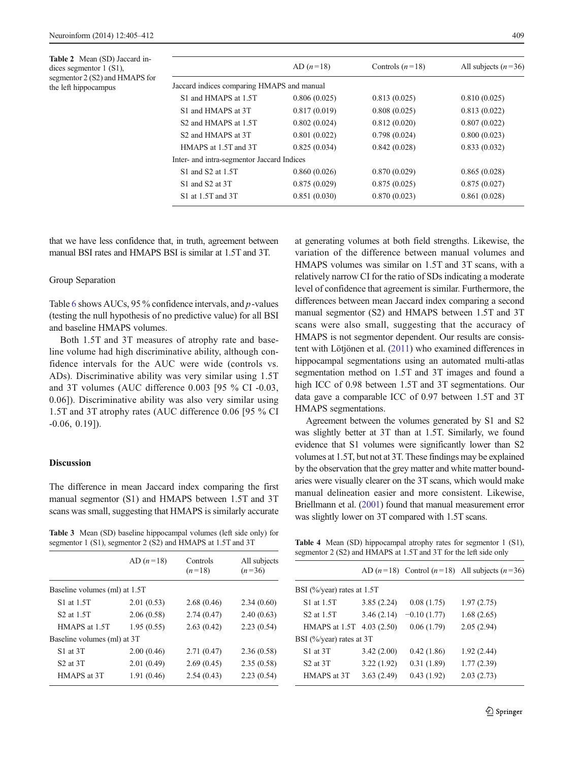<span id="page-4-0"></span>

|                                            | AD $(n=18)$  | Controls $(n=18)$ | All subjects $(n=36)$ |
|--------------------------------------------|--------------|-------------------|-----------------------|
| Jaccard indices comparing HMAPS and manual |              |                   |                       |
| S1 and HMAPS at 1.5T                       | 0.806(0.025) | 0.813(0.025)      | 0.810(0.025)          |
| S1 and HMAPS at 3T                         | 0.817(0.019) | 0.808(0.025)      | 0.813(0.022)          |
| S <sub>2</sub> and HMAPS at 1.5T           | 0.802(0.024) | 0.812(0.020)      | 0.807(0.022)          |
| S <sub>2</sub> and HMAPS at 3T             | 0.801(0.022) | 0.798(0.024)      | 0.800(0.023)          |
| HMAPS at 1.5T and 3T                       | 0.825(0.034) | 0.842(0.028)      | 0.833(0.032)          |
| Inter- and intra-segmentor Jaccard Indices |              |                   |                       |
| S1 and S2 at 1.5T                          | 0.860(0.026) | 0.870(0.029)      | 0.865(0.028)          |
| S1 and S2 at 3T                            | 0.875(0.029) | 0.875(0.025)      | 0.875(0.027)          |
| S1 at 1.5T and 3T                          | 0.851(0.030) | 0.870(0.023)      | 0.861(0.028)          |
|                                            |              |                   |                       |

that we have less confidence that, in truth, agreement between manual BSI rates and HMAPS BSI is similar at 1.5T and 3T.

# Group Separation

Table [6](#page-5-0) shows AUCs, 95 % confidence intervals, and  $p$ -values (testing the null hypothesis of no predictive value) for all BSI and baseline HMAPS volumes.

Both 1.5T and 3T measures of atrophy rate and baseline volume had high discriminative ability, although confidence intervals for the AUC were wide (controls vs. ADs). Discriminative ability was very similar using 1.5T and 3T volumes (AUC difference 0.003 [95 % CI -0.03, 0.06]). Discriminative ability was also very similar using 1.5T and 3T atrophy rates (AUC difference 0.06 [95 % CI -0.06, 0.19]).

## **Discussion**

The difference in mean Jaccard index comparing the first manual segmentor (S1) and HMAPS between 1.5T and 3T scans was small, suggesting that HMAPS is similarly accurate

Table 3 Mean (SD) baseline hippocampal volumes (left side only) for segmentor 1 (S1), segmentor 2 (S2) and HMAPS at 1.5T and 3T

|                               | AD $(n=18)$ | Controls<br>$(n=18)$ | All subjects<br>$(n=36)$ |
|-------------------------------|-------------|----------------------|--------------------------|
| Baseline volumes (ml) at 1.5T |             |                      |                          |
| S1 at 1.5T                    | 2.01(0.53)  | 2.68(0.46)           | 2.34(0.60)               |
| S <sub>2</sub> at 1.5T        | 2.06(0.58)  | 2.74(0.47)           | 2.40(0.63)               |
| HMAPS at 1.5T                 | 1.95(0.55)  | 2.63(0.42)           | 2.23(0.54)               |
| Baseline volumes (ml) at 3T   |             |                      |                          |
| S1 at 3T                      | 2.00(0.46)  | 2.71(0.47)           | 2.36(0.58)               |
| S <sub>2</sub> at 3T          | 2.01(0.49)  | 2.69(0.45)           | 2.35(0.58)               |
| HMAPS at 3T                   | 1.91(0.46)  | 2.54(0.43)           | 2.23(0.54)               |
|                               |             |                      |                          |

at generating volumes at both field strengths. Likewise, the variation of the difference between manual volumes and HMAPS volumes was similar on 1.5T and 3T scans, with a relatively narrow CI for the ratio of SDs indicating a moderate level of confidence that agreement is similar. Furthermore, the differences between mean Jaccard index comparing a second manual segmentor (S2) and HMAPS between 1.5T and 3T scans were also small, suggesting that the accuracy of HMAPS is not segmentor dependent. Our results are consistent with Lötjönen et al. [\(2011](#page-7-0)) who examined differences in hippocampal segmentations using an automated multi-atlas segmentation method on 1.5T and 3T images and found a high ICC of 0.98 between 1.5T and 3T segmentations. Our data gave a comparable ICC of 0.97 between 1.5T and 3T HMAPS segmentations.

Agreement between the volumes generated by S1 and S2 was slightly better at 3T than at 1.5T. Similarly, we found evidence that S1 volumes were significantly lower than S2 volumes at 1.5T, but not at 3T. These findings may be explained by the observation that the grey matter and white matter boundaries were visually clearer on the 3T scans, which would make manual delineation easier and more consistent. Likewise, Briellmann et al. [\(2001\)](#page-6-0) found that manual measurement error was slightly lower on 3T compared with 1.5T scans.

Table 4 Mean (SD) hippocampal atrophy rates for segmentor 1 (S1), segmentor 2 (S2) and HMAPS at 1.5T and 3T for the left side only

|                              |            |               | AD $(n=18)$ Control $(n=18)$ All subjects $(n=36)$ |  |
|------------------------------|------------|---------------|----------------------------------------------------|--|
| BSI (%/year) rates at $1.5T$ |            |               |                                                    |  |
| S1 at 1.5T                   | 3.85(2.24) | 0.08(1.75)    | 1.97(2.75)                                         |  |
| S <sub>2</sub> at 1.5T       | 3.46(2.14) | $-0.10(1.77)$ | 1.68(2.65)                                         |  |
| HMAPS at 1.5T                | 4.03(2.50) | 0.06(1.79)    | 2.05(2.94)                                         |  |
| BSI (%/year) rates at 3T     |            |               |                                                    |  |
| S1 at 3T                     | 3.42(2.00) | 0.42(1.86)    | 1.92(2.44)                                         |  |
| S <sub>2</sub> at 3T         | 3.22(1.92) | 0.31(1.89)    | 1.77(2.39)                                         |  |
| HMAPS at 3T                  | 3.63(2.49) | 0.43(1.92)    | 2.03(2.73)                                         |  |
|                              |            |               |                                                    |  |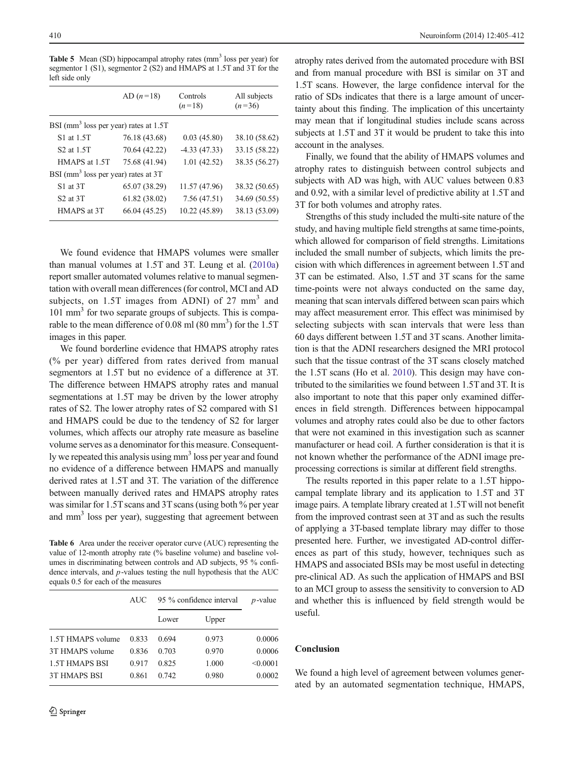<span id="page-5-0"></span>Table 5 Mean (SD) hippocampal atrophy rates (mm<sup>3</sup> loss per year) for segmentor 1 (S1), segmentor 2 (S2) and HMAPS at 1.5T and 3T for the left side only

|                                                   | AD $(n=18)$   | Controls<br>$(n=18)$ | All subjects<br>$(n=36)$ |  |  |
|---------------------------------------------------|---------------|----------------------|--------------------------|--|--|
| BSI (mm <sup>3</sup> loss per year) rates at 1.5T |               |                      |                          |  |  |
| S1 at 1.5T                                        | 76.18 (43.68) | 0.03(45.80)          | 38.10 (58.62)            |  |  |
| S <sub>2</sub> at 1.5T                            | 70.64 (42.22) | $-4.33(47.33)$       | 33.15 (58.22)            |  |  |
| HMAPS at 1.5T                                     | 75.68 (41.94) | 1.01(42.52)          | 38.35 (56.27)            |  |  |
| BSI (mm <sup>3</sup> loss per year) rates at 3T   |               |                      |                          |  |  |
| S1 at 3T                                          | 65.07 (38.29) | 11.57 (47.96)        | 38.32 (50.65)            |  |  |
| S <sub>2</sub> at 3T                              | 61.82 (38.02) | 7.56(47.51)          | 34.69 (50.55)            |  |  |
| HMAPS at 3T                                       | 66.04 (45.25) | 10.22 (45.89)        | 38.13 (53.09)            |  |  |

We found evidence that HMAPS volumes were smaller than manual volumes at 1.5T and 3T. Leung et al. [\(2010a\)](#page-7-0) report smaller automated volumes relative to manual segmentation with overall mean differences (for control, MCI and AD subjects, on  $1.5T$  images from ADNI) of  $27 \text{ mm}^3$  and 101 mm<sup>3</sup> for two separate groups of subjects. This is comparable to the mean difference of  $0.08$  ml  $(80 \text{ mm}^3)$  for the  $1.5$ T images in this paper.

We found borderline evidence that HMAPS atrophy rates (% per year) differed from rates derived from manual segmentors at 1.5T but no evidence of a difference at 3T. The difference between HMAPS atrophy rates and manual segmentations at 1.5T may be driven by the lower atrophy rates of S2. The lower atrophy rates of S2 compared with S1 and HMAPS could be due to the tendency of S2 for larger volumes, which affects our atrophy rate measure as baseline volume serves as a denominator for this measure. Consequently we repeated this analysis using mm<sup>3</sup> loss per year and found no evidence of a difference between HMAPS and manually derived rates at 1.5T and 3T. The variation of the difference between manually derived rates and HMAPS atrophy rates was similar for 1.5T scans and 3T scans (using both % per year and mm<sup>3</sup> loss per year), suggesting that agreement between

Table 6 Area under the receiver operator curve (AUC) representing the value of 12-month atrophy rate (% baseline volume) and baseline volumes in discriminating between controls and AD subjects, 95 % confidence intervals, and  $p$ -values testing the null hypothesis that the AUC equals 0.5 for each of the measures

|                   | AUC   | 95 % confidence interval |       | $p$ -value |
|-------------------|-------|--------------------------|-------|------------|
|                   |       | Lower                    | Upper |            |
| 1.5T HMAPS volume | 0.833 | 0.694                    | 0.973 | 0.0006     |
| 3T HMAPS volume   | 0.836 | 0.703                    | 0.970 | 0.0006     |
| 1.5T HMAPS BSI    | 0.917 | 0.825                    | 1.000 | < 0.0001   |
| 3T HMAPS BSI      | 0.861 | 0.742                    | 0.980 | 0.0002     |

atrophy rates derived from the automated procedure with BSI and from manual procedure with BSI is similar on 3T and 1.5T scans. However, the large confidence interval for the ratio of SDs indicates that there is a large amount of uncertainty about this finding. The implication of this uncertainty may mean that if longitudinal studies include scans across subjects at 1.5T and 3T it would be prudent to take this into account in the analyses.

Finally, we found that the ability of HMAPS volumes and atrophy rates to distinguish between control subjects and subjects with AD was high, with AUC values between 0.83 and 0.92, with a similar level of predictive ability at 1.5T and 3T for both volumes and atrophy rates.

Strengths of this study included the multi-site nature of the study, and having multiple field strengths at same time-points, which allowed for comparison of field strengths. Limitations included the small number of subjects, which limits the precision with which differences in agreement between 1.5T and 3T can be estimated. Also, 1.5T and 3T scans for the same time-points were not always conducted on the same day, meaning that scan intervals differed between scan pairs which may affect measurement error. This effect was minimised by selecting subjects with scan intervals that were less than 60 days different between 1.5T and 3T scans. Another limitation is that the ADNI researchers designed the MRI protocol such that the tissue contrast of the 3T scans closely matched the 1.5T scans (Ho et al. [2010](#page-7-0)). This design may have contributed to the similarities we found between 1.5T and 3T. It is also important to note that this paper only examined differences in field strength. Differences between hippocampal volumes and atrophy rates could also be due to other factors that were not examined in this investigation such as scanner manufacturer or head coil. A further consideration is that it is not known whether the performance of the ADNI image preprocessing corrections is similar at different field strengths.

The results reported in this paper relate to a 1.5T hippocampal template library and its application to 1.5T and 3T image pairs. A template library created at 1.5T will not benefit from the improved contrast seen at 3T and as such the results of applying a 3T-based template library may differ to those presented here. Further, we investigated AD-control differences as part of this study, however, techniques such as HMAPS and associated BSIs may be most useful in detecting pre-clinical AD. As such the application of HMAPS and BSI to an MCI group to assess the sensitivity to conversion to AD and whether this is influenced by field strength would be useful.

# Conclusion

We found a high level of agreement between volumes generated by an automated segmentation technique, HMAPS,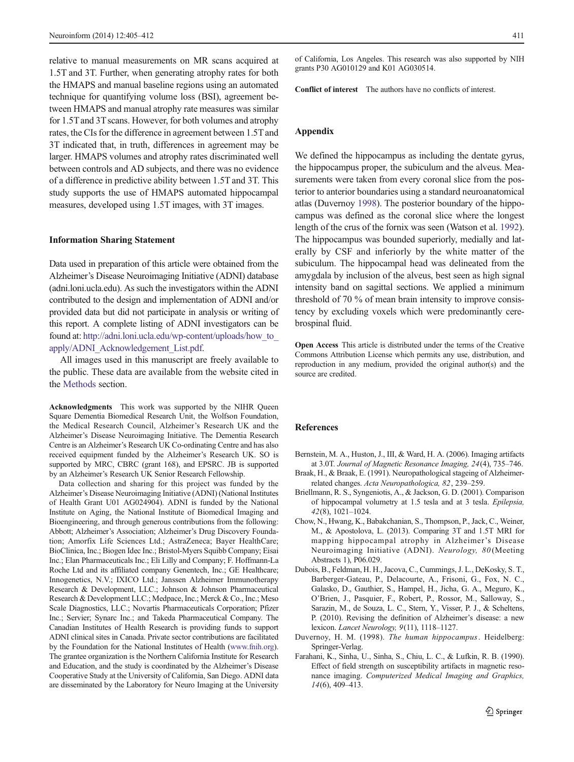<span id="page-6-0"></span>relative to manual measurements on MR scans acquired at 1.5T and 3T. Further, when generating atrophy rates for both the HMAPS and manual baseline regions using an automated technique for quantifying volume loss (BSI), agreement between HMAPS and manual atrophy rate measures was similar for 1.5T and 3T scans. However, for both volumes and atrophy rates, the CIs for the difference in agreement between 1.5T and 3T indicated that, in truth, differences in agreement may be larger. HMAPS volumes and atrophy rates discriminated well between controls and AD subjects, and there was no evidence of a difference in predictive ability between 1.5T and 3T. This study supports the use of HMAPS automated hippocampal measures, developed using 1.5T images, with 3T images.

## Information Sharing Statement

Data used in preparation of this article were obtained from the Alzheimer's Disease Neuroimaging Initiative (ADNI) database (adni.loni.ucla.edu). As such the investigators within the ADNI contributed to the design and implementation of ADNI and/or provided data but did not participate in analysis or writing of this report. A complete listing of ADNI investigators can be found at: [http://adni.loni.ucla.edu/wp-content/uploads/how\\_to\\_](http://adni.loni.ucla.edu/wp-content/uploads/how_to_apply/ADNI_Acknowledgement_List.pdf) [apply/ADNI\\_Acknowledgement\\_List.pdf.](http://adni.loni.ucla.edu/wp-content/uploads/how_to_apply/ADNI_Acknowledgement_List.pdf)

All images used in this manuscript are freely available to the public. These data are available from the website cited in the [Methods](#page-1-0) section.

Acknowledgments This work was supported by the NIHR Queen Square Dementia Biomedical Research Unit, the Wolfson Foundation, the Medical Research Council, Alzheimer's Research UK and the Alzheimer's Disease Neuroimaging Initiative. The Dementia Research Centre is an Alzheimer's Research UK Co-ordinating Centre and has also received equipment funded by the Alzheimer's Research UK. SO is supported by MRC, CBRC (grant 168), and EPSRC. JB is supported by an Alzheimer's Research UK Senior Research Fellowship.

Data collection and sharing for this project was funded by the Alzheimer's Disease Neuroimaging Initiative (ADNI) (National Institutes of Health Grant U01 AG024904). ADNI is funded by the National Institute on Aging, the National Institute of Biomedical Imaging and Bioengineering, and through generous contributions from the following: Abbott; Alzheimer's Association; Alzheimer's Drug Discovery Foundation; Amorfix Life Sciences Ltd.; AstraZeneca; Bayer HealthCare; BioClinica, Inc.; Biogen Idec Inc.; Bristol-Myers Squibb Company; Eisai Inc.; Elan Pharmaceuticals Inc.; Eli Lilly and Company; F. Hoffmann-La Roche Ltd and its affiliated company Genentech, Inc.; GE Healthcare; Innogenetics, N.V.; IXICO Ltd.; Janssen Alzheimer Immunotherapy Research & Development, LLC.; Johnson & Johnson Pharmaceutical Research & Development LLC.; Medpace, Inc.; Merck & Co., Inc.; Meso Scale Diagnostics, LLC.; Novartis Pharmaceuticals Corporation; Pfizer Inc.; Servier; Synarc Inc.; and Takeda Pharmaceutical Company. The Canadian Institutes of Health Research is providing funds to support ADNI clinical sites in Canada. Private sector contributions are facilitated by the Foundation for the National Institutes of Health [\(www.fnih.org](http://www.fnih.org/)). The grantee organization is the Northern California Institute for Research and Education, and the study is coordinated by the Alzheimer's Disease Cooperative Study at the University of California, San Diego. ADNI data are disseminated by the Laboratory for Neuro Imaging at the University of California, Los Angeles. This research was also supported by NIH grants P30 AG010129 and K01 AG030514.

Conflict of interest The authors have no conflicts of interest.

# Appendix

We defined the hippocampus as including the dentate gyrus, the hippocampus proper, the subiculum and the alveus. Measurements were taken from every coronal slice from the posterior to anterior boundaries using a standard neuroanatomical atlas (Duvernoy 1998). The posterior boundary of the hippocampus was defined as the coronal slice where the longest length of the crus of the fornix was seen (Watson et al. [1992\)](#page-7-0). The hippocampus was bounded superiorly, medially and laterally by CSF and inferiorly by the white matter of the subiculum. The hippocampal head was delineated from the amygdala by inclusion of the alveus, best seen as high signal intensity band on sagittal sections. We applied a minimum threshold of 70 % of mean brain intensity to improve consistency by excluding voxels which were predominantly cerebrospinal fluid.

Open Access This article is distributed under the terms of the Creative Commons Attribution License which permits any use, distribution, and reproduction in any medium, provided the original author(s) and the source are credited.

## References

- Bernstein, M. A., Huston, J., III, & Ward, H. A. (2006). Imaging artifacts at 3.0T. Journal of Magnetic Resonance Imaging, 24(4), 735–746.
- Braak, H., & Braak, E. (1991). Neuropathological stageing of Alzheimerrelated changes. Acta Neuropathologica, 82, 239–259.
- Briellmann, R. S., Syngeniotis, A., & Jackson, G. D. (2001). Comparison of hippocampal volumetry at 1.5 tesla and at 3 tesla. Epilepsia, 42(8), 1021–1024.
- Chow, N., Hwang, K., Babakchanian, S., Thompson, P., Jack, C., Weiner, M., & Apostolova, L. (2013). Comparing 3T and 1.5T MRI for mapping hippocampal atrophy in Alzheimer's Disease Neuroimaging Initiative (ADNI). Neurology, 80 (Meeting Abstracts 1), P06.029.
- Dubois, B., Feldman, H. H., Jacova, C., Cummings, J. L., DeKosky, S. T., Barberger-Gateau, P., Delacourte, A., Frisoni, G., Fox, N. C., Galasko, D., Gauthier, S., Hampel, H., Jicha, G. A., Meguro, K., O'Brien, J., Pasquier, F., Robert, P., Rossor, M., Salloway, S., Sarazin, M., de Souza, L. C., Stern, Y., Visser, P. J., & Scheltens, P. (2010). Revising the definition of Alzheimer's disease: a new lexicon. Lancet Neurology, 9(11), 1118–1127.
- Duvernoy, H. M. (1998). The human hippocampus. Heidelberg: Springer-Verlag.
- Farahani, K., Sinha, U., Sinha, S., Chiu, L. C., & Lufkin, R. B. (1990). Effect of field strength on susceptibility artifacts in magnetic resonance imaging. Computerized Medical Imaging and Graphics, 14(6), 409–413.